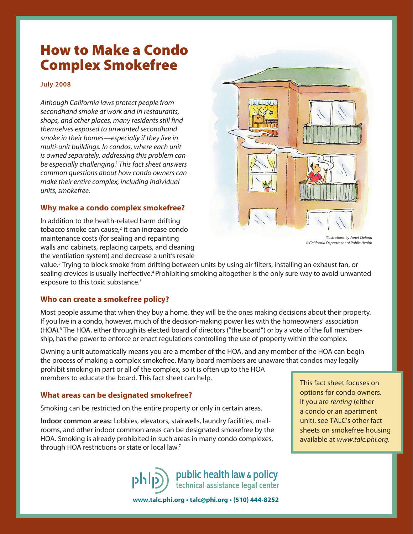# How to Make a Condo Complex Smokefree

#### **July 2008**

*Although California laws protect people from secondhand smoke at work and in restaurants, shops, and other places, many residents still find themselves exposed to unwanted secondhand smoke in their homes—especially if they live in multi-unit buildings. In condos, where each unit is owned separately, addressing this problem can be especially challenging.*<sup>1</sup> *This fact sheet answers common questions about how condo owners can make their entire complex, including individual units, smokefree.*

#### **Why make a condo complex smokefree?**

In addition to the health-related harm drifting tobacco smoke can cause,<sup>2</sup> it can increase condo maintenance costs (for sealing and repainting walls and cabinets, replacing carpets, and cleaning the ventilation system) and decrease a unit's resale



*Illustrations by Janet Cleland © California Department of Public Health*

value.3 Trying to block smoke from drifting between units by using air filters, installing an exhaust fan, or sealing crevices is usually ineffective.<sup>4</sup> Prohibiting smoking altogether is the only sure way to avoid unwanted exposure to this toxic substance.<sup>5</sup>

### **Who can create a smokefree policy?**

Most people assume that when they buy a home, they will be the ones making decisions about their property. If you live in a condo, however, much of the decision-making power lies with the homeowners' association (HOA).6 The HOA, either through its elected board of directors ("the board") or by a vote of the full membership, has the power to enforce or enact regulations controlling the use of property within the complex.

Owning a unit automatically means you are a member of the HOA, and any member of the HOA can begin the process of making a complex smokefree. Many board members are unaware that condos may legally prohibit smoking in part or all of the complex, so it is often up to the HOA members to educate the board. This fact sheet can help.

#### **What areas can be designated smokefree?**

Smoking can be restricted on the entire property or only in certain areas.

**Indoor common areas:** Lobbies, elevators, stairwells, laundry facilities, mailrooms, and other indoor common areas can be designated smokefree by the HOA. Smoking is already prohibited in such areas in many condo complexes, through HOA restrictions or state or local law.7

This fact sheet focuses on options for condo owners. If you are *renting* (either a condo or an apartment unit), see TALC's other fact sheets on smokefree housing available at *www.talc.phi.org*.

public health law & policy<br>technical assistance legal center cildq

**www.talc.phi.org • talc@phi.org • (510) 444-8252**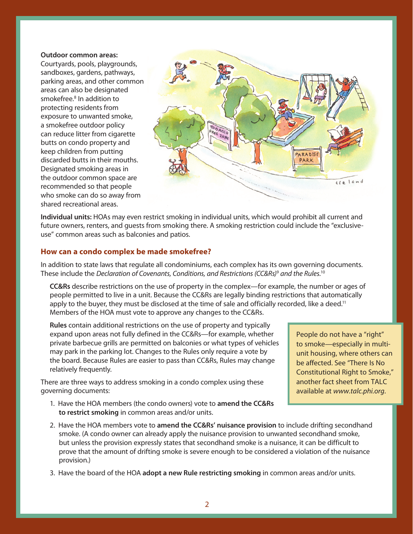#### **Outdoor common areas:**

Courtyards, pools, playgrounds, sandboxes, gardens, pathways, parking areas, and other common areas can also be designated smokefree.<sup>8</sup> In addition to protecting residents from exposure to unwanted smoke, a smokefree outdoor policy can reduce litter from cigarette butts on condo property and keep children from putting discarded butts in their mouths. Designated smoking areas in the outdoor common space are recommended so that people who smoke can do so away from shared recreational areas.



**Individual units:** HOAs may even restrict smoking in individual units, which would prohibit all current and future owners, renters, and guests from smoking there. A smoking restriction could include the "exclusiveuse" common areas such as balconies and patios.

#### **How can a condo complex be made smokefree?**

In addition to state laws that regulate all condominiums, each complex has its own governing documents. These include the *Declaration of Covenants, Conditions, and Restrictions (CC&Rs)*<sup>9</sup>  *and the Rules.*<sup>10</sup>

**CC&Rs** describe restrictions on the use of property in the complex—for example, the number or ages of people permitted to live in a unit. Because the CC&Rs are legally binding restrictions that automatically apply to the buyer, they must be disclosed at the time of sale and officially recorded, like a deed.<sup>11</sup> Members of the HOA must vote to approve any changes to the CC&Rs.

**Rules** contain additional restrictions on the use of property and typically expand upon areas not fully defined in the CC&Rs—for example, whether private barbecue grills are permitted on balconies or what types of vehicles may park in the parking lot. Changes to the Rules only require a vote by the board. Because Rules are easier to pass than CC&Rs, Rules may change relatively frequently.

There are three ways to address smoking in a condo complex using these governing documents:

1. Have the HOA members (the condo owners) vote to **amend the CC&Rs to restrict smoking** in common areas and/or units.

People do not have a "right" to smoke—especially in multiunit housing, where others can be affected. See "There Is No Constitutional Right to Smoke," another fact sheet from TALC available at *www.talc.phi.org*.

- 2. Have the HOA members vote to **amend the CC&Rs' nuisance provision** to include drifting secondhand smoke. (A condo owner can already apply the nuisance provision to unwanted secondhand smoke, but unless the provision expressly states that secondhand smoke is a nuisance, it can be difficult to prove that the amount of drifting smoke is severe enough to be considered a violation of the nuisance provision.)
- 3. Have the board of the HOA **adopt a new Rule restricting smoking** in common areas and/or units.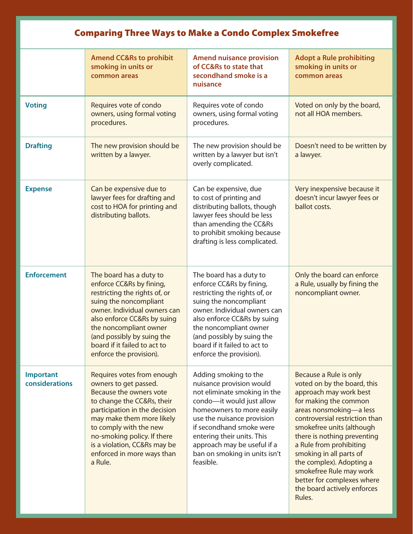| <b>Comparing Three Ways to Make a Condo Complex Smokefree</b> |                                                                                                                                                                                                                                                                                                              |                                                                                                                                                                                                                                                                                                                  |                                                                                                                                                                                                                                                                                                                                                                                                                       |
|---------------------------------------------------------------|--------------------------------------------------------------------------------------------------------------------------------------------------------------------------------------------------------------------------------------------------------------------------------------------------------------|------------------------------------------------------------------------------------------------------------------------------------------------------------------------------------------------------------------------------------------------------------------------------------------------------------------|-----------------------------------------------------------------------------------------------------------------------------------------------------------------------------------------------------------------------------------------------------------------------------------------------------------------------------------------------------------------------------------------------------------------------|
|                                                               | <b>Amend CC&amp;Rs to prohibit</b><br>smoking in units or<br>common areas                                                                                                                                                                                                                                    | <b>Amend nuisance provision</b><br>of CC&Rs to state that<br>secondhand smoke is a<br>nuisance                                                                                                                                                                                                                   | <b>Adopt a Rule prohibiting</b><br>smoking in units or<br>common areas                                                                                                                                                                                                                                                                                                                                                |
| <b>Voting</b>                                                 | Requires vote of condo<br>owners, using formal voting<br>procedures.                                                                                                                                                                                                                                         | Requires vote of condo<br>owners, using formal voting<br>procedures.                                                                                                                                                                                                                                             | Voted on only by the board,<br>not all HOA members.                                                                                                                                                                                                                                                                                                                                                                   |
| <b>Drafting</b>                                               | The new provision should be<br>written by a lawyer.                                                                                                                                                                                                                                                          | The new provision should be<br>written by a lawyer but isn't<br>overly complicated.                                                                                                                                                                                                                              | Doesn't need to be written by<br>a lawyer.                                                                                                                                                                                                                                                                                                                                                                            |
| <b>Expense</b>                                                | Can be expensive due to<br>lawyer fees for drafting and<br>cost to HOA for printing and<br>distributing ballots.                                                                                                                                                                                             | Can be expensive, due<br>to cost of printing and<br>distributing ballots, though<br>lawyer fees should be less<br>than amending the CC&Rs<br>to prohibit smoking because<br>drafting is less complicated.                                                                                                        | Very inexpensive because it<br>doesn't incur lawyer fees or<br>ballot costs.                                                                                                                                                                                                                                                                                                                                          |
| <b>Enforcement</b>                                            | The board has a duty to<br>enforce CC&Rs by fining,<br>restricting the rights of, or<br>suing the noncompliant<br>owner. Individual owners can<br>also enforce CC&Rs by suing<br>the noncompliant owner<br>(and possibly by suing the<br>board if it failed to act to<br>enforce the provision).             | The board has a duty to<br>enforce CC&Rs by fining,<br>restricting the rights of, or<br>suing the noncompliant<br>owner. Individual owners can<br>also enforce CC&Rs by suing<br>the noncompliant owner<br>(and possibly by suing the<br>board if it failed to act to<br>enforce the provision).                 | Only the board can enforce<br>a Rule, usually by fining the<br>noncompliant owner.                                                                                                                                                                                                                                                                                                                                    |
| Important<br>considerations                                   | Requires votes from enough<br>owners to get passed.<br>Because the owners vote<br>to change the CC&Rs, their<br>participation in the decision<br>may make them more likely<br>to comply with the new<br>no-smoking policy. If there<br>is a violation, CC&Rs may be<br>enforced in more ways than<br>a Rule. | Adding smoking to the<br>nuisance provision would<br>not eliminate smoking in the<br>condo-it would just allow<br>homeowners to more easily<br>use the nuisance provision<br>if secondhand smoke were<br>entering their units. This<br>approach may be useful if a<br>ban on smoking in units isn't<br>feasible. | Because a Rule is only<br>voted on by the board, this<br>approach may work best<br>for making the common<br>areas nonsmoking-a less<br>controversial restriction than<br>smokefree units (although<br>there is nothing preventing<br>a Rule from prohibiting<br>smoking in all parts of<br>the complex). Adopting a<br>smokefree Rule may work<br>better for complexes where<br>the board actively enforces<br>Rules. |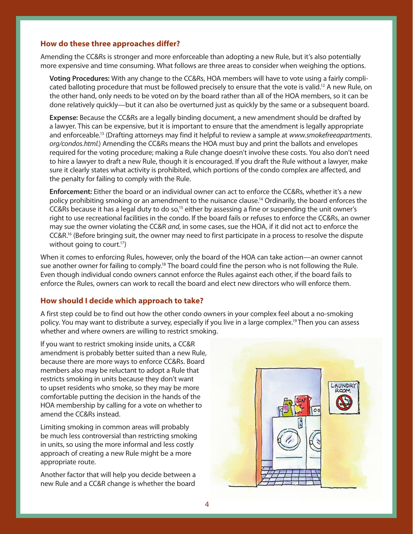#### **How do these three approaches differ?**

Amending the CC&Rs is stronger and more enforceable than adopting a new Rule, but it's also potentially more expensive and time consuming. What follows are three areas to consider when weighing the options.

**Voting Procedures:** With any change to the CC&Rs, HOA members will have to vote using a fairly complicated balloting procedure that must be followed precisely to ensure that the vote is valid.<sup>12</sup> A new Rule, on the other hand, only needs to be voted on by the board rather than all of the HOA members, so it can be done relatively quickly—but it can also be overturned just as quickly by the same or a subsequent board.

**Expense:** Because the CC&Rs are a legally binding document, a new amendment should be drafted by a lawyer. This can be expensive, but it is important to ensure that the amendment is legally appropriate and enforceable.13 (Drafting attorneys may find it helpful to review a sample at *www.smokefreeapartments. org/condos.html.*) Amending the CC&Rs means the HOA must buy and print the ballots and envelopes required for the voting procedure; making a Rule change doesn't involve these costs. You also don't need to hire a lawyer to draft a new Rule, though it is encouraged. If you draft the Rule without a lawyer, make sure it clearly states what activity is prohibited, which portions of the condo complex are affected, and the penalty for failing to comply with the Rule.

**Enforcement:** Either the board or an individual owner can act to enforce the CC&Rs, whether it's a new policy prohibiting smoking or an amendment to the nuisance clause.<sup>14</sup> Ordinarily, the board enforces the CC&Rs because it has a legal duty to do so,15 either by assessing a fine or suspending the unit owner's right to use recreational facilities in the condo. If the board fails or refuses to enforce the CC&Rs, an owner may sue the owner violating the CC&R *and*, in some cases, sue the HOA, if it did not act to enforce the CC&R.16 (Before bringing suit, the owner may need to first participate in a process to resolve the dispute without going to court.<sup>17</sup>)

When it comes to enforcing Rules, however, only the board of the HOA can take action—an owner cannot sue another owner for failing to comply.<sup>18</sup> The board could fine the person who is not following the Rule. Even though individual condo owners cannot enforce the Rules against each other, if the board fails to enforce the Rules, owners can work to recall the board and elect new directors who will enforce them.

#### **How should I decide which approach to take?**

A first step could be to find out how the other condo owners in your complex feel about a no-smoking policy. You may want to distribute a survey, especially if you live in a large complex.19 Then you can assess whether and where owners are willing to restrict smoking.

If you want to restrict smoking inside units, a CC&R amendment is probably better suited than a new Rule, because there are more ways to enforce CC&Rs. Board members also may be reluctant to adopt a Rule that restricts smoking in units because they don't want to upset residents who smoke, so they may be more comfortable putting the decision in the hands of the HOA membership by calling for a vote on whether to amend the CC&Rs instead.

Limiting smoking in common areas will probably be much less controversial than restricting smoking in units, so using the more informal and less costly approach of creating a new Rule might be a more appropriate route.

Another factor that will help you decide between a new Rule and a CC&R change is whether the board

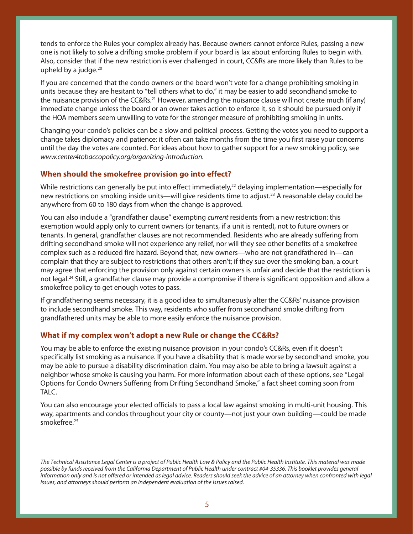tends to enforce the Rules your complex already has. Because owners cannot enforce Rules, passing a new one is not likely to solve a drifting smoke problem if your board is lax about enforcing Rules to begin with. Also, consider that if the new restriction is ever challenged in court, CC&Rs are more likely than Rules to be upheld by a judge. $20$ 

If you are concerned that the condo owners or the board won't vote for a change prohibiting smoking in units because they are hesitant to "tell others what to do," it may be easier to add secondhand smoke to the nuisance provision of the CC&Rs.<sup>21</sup> However, amending the nuisance clause will not create much (if any) immediate change unless the board or an owner takes action to enforce it, so it should be pursued only if the HOA members seem unwilling to vote for the stronger measure of prohibiting smoking in units.

Changing your condo's policies can be a slow and political process. Getting the votes you need to support a change takes diplomacy and patience: it often can take months from the time you first raise your concerns until the day the votes are counted. For ideas about how to gather support for a new smoking policy, see *www.center4tobaccopolicy.org/organizing-introduction.*

## **When should the smokefree provision go into effect?**

While restrictions can generally be put into effect immediately, $^{22}$  delaying implementation—especially for new restrictions on smoking inside units—will give residents time to adjust.<sup>23</sup> A reasonable delay could be anywhere from 60 to 180 days from when the change is approved.

You can also include a "grandfather clause" exempting *current* residents from a new restriction: this exemption would apply only to current owners (or tenants, if a unit is rented), not to future owners or tenants. In general, grandfather clauses are not recommended. Residents who are already suffering from drifting secondhand smoke will not experience any relief, nor will they see other benefits of a smokefree complex such as a reduced fire hazard. Beyond that, new owners—who are not grandfathered in—can complain that they are subject to restrictions that others aren't; if they sue over the smoking ban, a court may agree that enforcing the provision only against certain owners is unfair and decide that the restriction is not legal.<sup>24</sup> Still, a grandfather clause may provide a compromise if there is significant opposition and allow a smokefree policy to get enough votes to pass.

If grandfathering seems necessary, it is a good idea to simultaneously alter the CC&Rs' nuisance provision to include secondhand smoke. This way, residents who suffer from secondhand smoke drifting from grandfathered units may be able to more easily enforce the nuisance provision.

### **What if my complex won't adopt a new Rule or change the CC&Rs?**

You may be able to enforce the existing nuisance provision in your condo's CC&Rs, even if it doesn't specifically list smoking as a nuisance. If you have a disability that is made worse by secondhand smoke, you may be able to pursue a disability discrimination claim. You may also be able to bring a lawsuit against a neighbor whose smoke is causing you harm. For more information about each of these options, see "Legal Options for Condo Owners Suffering from Drifting Secondhand Smoke," a fact sheet coming soon from TALC.

You can also encourage your elected officials to pass a local law against smoking in multi-unit housing. This way, apartments and condos throughout your city or county—not just your own building—could be made smokefree.25

*The Technical Assistance Legal Center is a project of Public Health Law & Policy and the Public Health Institute. This material was made possible by funds received from the California Department of Public Health under contract #04-35336. This booklet provides general*  information only and is not offered or intended as legal advice. Readers should seek the advice of an attorney when confronted with legal *issues, and attorneys should perform an independent evaluation of the issues raised.*